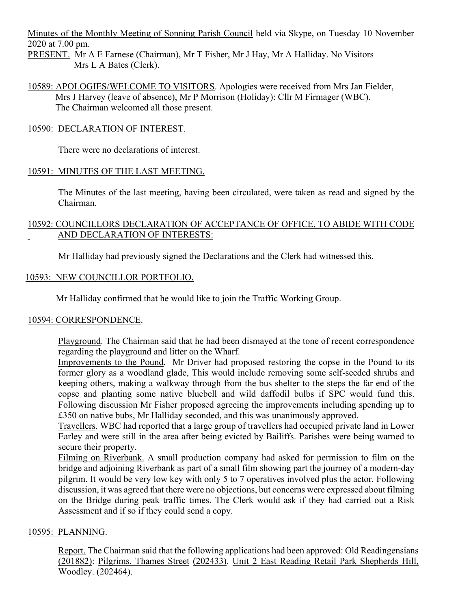Minutes of the Monthly Meeting of Sonning Parish Council held via Skype, on Tuesday 10 November 2020 at 7.00 pm.

PRESENT. Mr A E Farnese (Chairman), Mr T Fisher, Mr J Hay, Mr A Halliday. No Visitors Mrs L A Bates (Clerk).

10589: APOLOGIES/WELCOME TO VISITORS. Apologies were received from Mrs Jan Fielder, Mrs J Harvey (leave of absence), Mr P Morrison (Holiday): Cllr M Firmager (WBC). The Chairman welcomed all those present.

### 10590: DECLARATION OF INTEREST.

There were no declarations of interest.

### 10591: MINUTES OF THE LAST MEETING.

The Minutes of the last meeting, having been circulated, were taken as read and signed by the Chairman.

### 10592: COUNCILLORS DECLARATION OF ACCEPTANCE OF OFFICE, TO ABIDE WITH CODE AND DECLARATION OF INTERESTS:

Mr Halliday had previously signed the Declarations and the Clerk had witnessed this.

# 10593: NEW COUNCILLOR PORTFOLIO.

Mr Halliday confirmed that he would like to join the Traffic Working Group.

#### 10594: CORRESPONDENCE.

Playground. The Chairman said that he had been dismayed at the tone of recent correspondence regarding the playground and litter on the Wharf.

Improvements to the Pound. Mr Driver had proposed restoring the copse in the Pound to its former glory as a woodland glade, This would include removing some self-seeded shrubs and keeping others, making a walkway through from the bus shelter to the steps the far end of the copse and planting some native bluebell and wild daffodil bulbs if SPC would fund this. Following discussion Mr Fisher proposed agreeing the improvements including spending up to £350 on native bubs, Mr Halliday seconded, and this was unanimously approved.

Travellers. WBC had reported that a large group of travellers had occupied private land in Lower Earley and were still in the area after being evicted by Bailiffs. Parishes were being warned to secure their property.

Filming on Riverbank. A small production company had asked for permission to film on the bridge and adjoining Riverbank as part of a small film showing part the journey of a modern-day pilgrim. It would be very low key with only 5 to 7 operatives involved plus the actor. Following discussion, it was agreed that there were no objections, but concerns were expressed about filming on the Bridge during peak traffic times. The Clerk would ask if they had carried out a Risk Assessment and if so if they could send a copy.

#### 10595: PLANNING.

Report. The Chairman said that the following applications had been approved: Old Readingensians (201882): Pilgrims, Thames Street (202433). Unit 2 East Reading Retail Park Shepherds Hill, Woodley. (202464).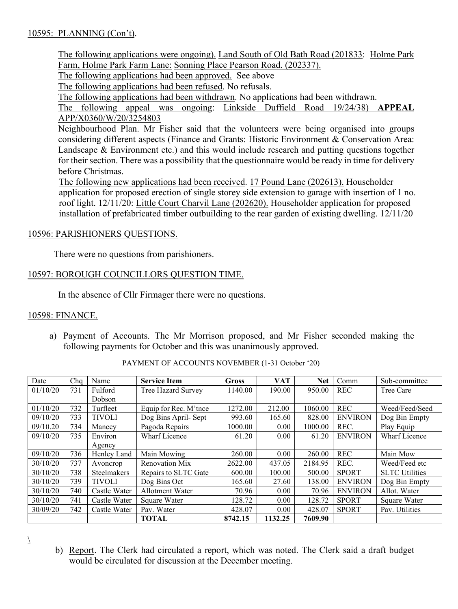# 10595: PLANNING (Con't).

The following applications were ongoing). Land South of Old Bath Road (201833: Holme Park Farm, Holme Park Farm Lane: Sonning Place Pearson Road. (202337).

The following applications had been approved. See above

The following applications had been refused. No refusals.

The following applications had been withdrawn. No applications had been withdrawn.

The following appeal was ongoing: Linkside Duffield Road 19/24/38) **APPEAL** APP/X0360/W/20/3254803

Neighbourhood Plan. Mr Fisher said that the volunteers were being organised into groups considering different aspects (Finance and Grants: Historic Environment & Conservation Area: Landscape & Environment etc.) and this would include research and putting questions together for their section. There was a possibility that the questionnaire would be ready in time for delivery before Christmas.

The following new applications had been received. 17 Pound Lane (202613). Householder application for proposed erection of single storey side extension to garage with insertion of 1 no. roof light. 12/11/20: Little Court Charvil Lane (202620). Householder application for proposed installation of prefabricated timber outbuilding to the rear garden of existing dwelling. 12/11/20

#### 10596: PARISHIONERS QUESTIONS.

There were no questions from parishioners.

# 10597: BOROUGH COUNCILLORS QUESTION TIME.

In the absence of Cllr Firmager there were no questions.

#### 10598: FINANCE.

a) Payment of Accounts. The Mr Morrison proposed, and Mr Fisher seconded making the following payments for October and this was unanimously approved.

| Date     | Cha | Name               | <b>Service Item</b>    | Gross   | <b>VAT</b> | <b>Net</b> | Comm           | Sub-committee         |
|----------|-----|--------------------|------------------------|---------|------------|------------|----------------|-----------------------|
| 01/10/20 | 731 | Fulford            | Tree Hazard Survey     | 1140.00 | 190.00     | 950.00     | <b>REC</b>     | Tree Care             |
|          |     | <b>Dobson</b>      |                        |         |            |            |                |                       |
| 01/10/20 | 732 | Turfleet           | Equip for Rec. M'tnce  | 1272.00 | 212.00     | 1060.00    | <b>REC</b>     | Weed/Feed/Seed        |
| 09/10/20 | 733 | <b>TIVOLI</b>      | Dog Bins April- Sept   | 993.60  | 165.60     | 828.00     | <b>ENVIRON</b> | Dog Bin Empty         |
| 09/10.20 | 734 | Mancey             | Pagoda Repairs         | 1000.00 | 0.00       | 1000.00    | REC.           | Play Equip            |
| 09/10/20 | 735 | Environ            | <b>Wharf Licence</b>   | 61.20   | 0.00       | 61.20      | <b>ENVIRON</b> | Wharf Licence         |
|          |     | Agency             |                        |         |            |            |                |                       |
| 09/10/20 | 736 | Henley Land        | Main Mowing            | 260.00  | 0.00       | 260.00     | <b>REC</b>     | Main Mow              |
| 30/10/20 | 737 | Avoncrop           | Renovation Mix         | 2622.00 | 437.05     | 2184.95    | REC.           | Weed/Feed etc         |
| 30/10/20 | 738 | <b>Steelmakers</b> | Repairs to SLTC Gate   | 600.00  | 100.00     | 500.00     | <b>SPORT</b>   | <b>SLTC Utilities</b> |
| 30/10/20 | 739 | <b>TIVOLI</b>      | Dog Bins Oct           | 165.60  | 27.60      | 138.00     | <b>ENVIRON</b> | Dog Bin Empty         |
| 30/10/20 | 740 | Castle Water       | <b>Allotment Water</b> | 70.96   | 0.00       | 70.96      | <b>ENVIRON</b> | Allot. Water          |
| 30/10/20 | 741 | Castle Water       | Square Water           | 128.72  | 0.00       | 128.72     | <b>SPORT</b>   | Square Water          |
| 30/09/20 | 742 | Castle Water       | Pav. Water             | 428.07  | 0.00       | 428.07     | <b>SPORT</b>   | Pav. Utilities        |
|          |     |                    | <b>TOTAL</b>           | 8742.15 | 1132.25    | 7609.90    |                |                       |

PAYMENT OF ACCOUNTS NOVEMBER (1-31 October '20)

 $\overline{\phantom{a}}$ 

b) Report. The Clerk had circulated a report, which was noted. The Clerk said a draft budget would be circulated for discussion at the December meeting.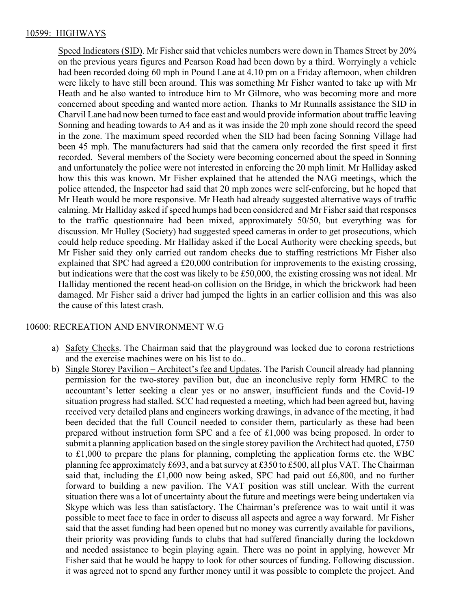#### 10599: HIGHWAYS

Speed Indicators (SID). Mr Fisher said that vehicles numbers were down in Thames Street by 20% on the previous years figures and Pearson Road had been down by a third. Worryingly a vehicle had been recorded doing 60 mph in Pound Lane at 4.10 pm on a Friday afternoon, when children were likely to have still been around. This was something Mr Fisher wanted to take up with Mr Heath and he also wanted to introduce him to Mr Gilmore, who was becoming more and more concerned about speeding and wanted more action. Thanks to Mr Runnalls assistance the SID in Charvil Lane had now been turned to face east and would provide information about traffic leaving Sonning and heading towards to A4 and as it was inside the 20 mph zone should record the speed in the zone. The maximum speed recorded when the SID had been facing Sonning Village had been 45 mph. The manufacturers had said that the camera only recorded the first speed it first recorded. Several members of the Society were becoming concerned about the speed in Sonning and unfortunately the police were not interested in enforcing the 20 mph limit. Mr Halliday asked how this this was known. Mr Fisher explained that he attended the NAG meetings, which the police attended, the Inspector had said that 20 mph zones were self-enforcing, but he hoped that Mr Heath would be more responsive. Mr Heath had already suggested alternative ways of traffic calming. Mr Halliday asked if speed humps had been considered and Mr Fisher said that responses to the traffic questionnaire had been mixed, approximately 50/50, but everything was for discussion. Mr Hulley (Society) had suggested speed cameras in order to get prosecutions, which could help reduce speeding. Mr Halliday asked if the Local Authority were checking speeds, but Mr Fisher said they only carried out random checks due to staffing restrictions Mr Fisher also explained that SPC had agreed a £20,000 contribution for improvements to the existing crossing, but indications were that the cost was likely to be £50,000, the existing crossing was not ideal. Mr Halliday mentioned the recent head-on collision on the Bridge, in which the brickwork had been damaged. Mr Fisher said a driver had jumped the lights in an earlier collision and this was also the cause of this latest crash.

#### 10600: RECREATION AND ENVIRONMENT W.G

- a) Safety Checks. The Chairman said that the playground was locked due to corona restrictions and the exercise machines were on his list to do..
- b) Single Storey Pavilion Architect's fee and Updates. The Parish Council already had planning permission for the two-storey pavilion but, due an inconclusive reply form HMRC to the accountant's letter seeking a clear yes or no answer, insufficient funds and the Covid-19 situation progress had stalled. SCC had requested a meeting, which had been agreed but, having received very detailed plans and engineers working drawings, in advance of the meeting, it had been decided that the full Council needed to consider them, particularly as these had been prepared without instruction form SPC and a fee of £1,000 was being proposed. In order to submit a planning application based on the single storey pavilion the Architect had quoted, £750 to £1,000 to prepare the plans for planning, completing the application forms etc. the WBC planning fee approximately £693, and a bat survey at £350 to £500, all plus VAT. The Chairman said that, including the £1,000 now being asked, SPC had paid out £6,800, and no further forward to building a new pavilion. The VAT position was still unclear. With the current situation there was a lot of uncertainty about the future and meetings were being undertaken via Skype which was less than satisfactory. The Chairman's preference was to wait until it was possible to meet face to face in order to discuss all aspects and agree a way forward. Mr Fisher said that the asset funding had been opened but no money was currently available for pavilions, their priority was providing funds to clubs that had suffered financially during the lockdown and needed assistance to begin playing again. There was no point in applying, however Mr Fisher said that he would be happy to look for other sources of funding. Following discussion. it was agreed not to spend any further money until it was possible to complete the project. And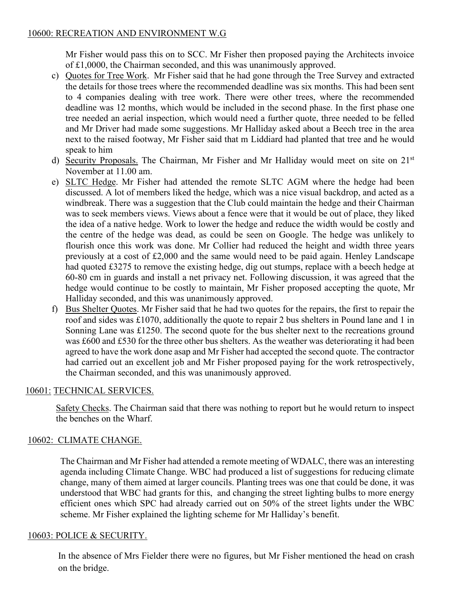Mr Fisher would pass this on to SCC. Mr Fisher then proposed paying the Architects invoice of £1,0000, the Chairman seconded, and this was unanimously approved.

- c) Quotes for Tree Work. Mr Fisher said that he had gone through the Tree Survey and extracted the details for those trees where the recommended deadline was six months. This had been sent to 4 companies dealing with tree work. There were other trees, where the recommended deadline was 12 months, which would be included in the second phase. In the first phase one tree needed an aerial inspection, which would need a further quote, three needed to be felled and Mr Driver had made some suggestions. Mr Halliday asked about a Beech tree in the area next to the raised footway, Mr Fisher said that m Liddiard had planted that tree and he would speak to him
- d) Security Proposals. The Chairman, Mr Fisher and Mr Halliday would meet on site on 21st November at 11.00 am.
- e) SLTC Hedge. Mr Fisher had attended the remote SLTC AGM where the hedge had been discussed. A lot of members liked the hedge, which was a nice visual backdrop, and acted as a windbreak. There was a suggestion that the Club could maintain the hedge and their Chairman was to seek members views. Views about a fence were that it would be out of place, they liked the idea of a native hedge. Work to lower the hedge and reduce the width would be costly and the centre of the hedge was dead, as could be seen on Google. The hedge was unlikely to flourish once this work was done. Mr Collier had reduced the height and width three years previously at a cost of £2,000 and the same would need to be paid again. Henley Landscape had quoted £3275 to remove the existing hedge, dig out stumps, replace with a beech hedge at 60-80 cm in guards and install a net privacy net. Following discussion, it was agreed that the hedge would continue to be costly to maintain, Mr Fisher proposed accepting the quote, Mr Halliday seconded, and this was unanimously approved.
- f) Bus Shelter Quotes. Mr Fisher said that he had two quotes for the repairs, the first to repair the roof and sides was £1070, additionally the quote to repair 2 bus shelters in Pound lane and 1 in Sonning Lane was £1250. The second quote for the bus shelter next to the recreations ground was £600 and £530 for the three other bus shelters. As the weather was deteriorating it had been agreed to have the work done asap and Mr Fisher had accepted the second quote. The contractor had carried out an excellent job and Mr Fisher proposed paying for the work retrospectively, the Chairman seconded, and this was unanimously approved.

# 10601: TECHNICAL SERVICES.

Safety Checks. The Chairman said that there was nothing to report but he would return to inspect the benches on the Wharf.

# 10602: CLIMATE CHANGE.

The Chairman and Mr Fisher had attended a remote meeting of WDALC, there was an interesting agenda including Climate Change. WBC had produced a list of suggestions for reducing climate change, many of them aimed at larger councils. Planting trees was one that could be done, it was understood that WBC had grants for this, and changing the street lighting bulbs to more energy efficient ones which SPC had already carried out on 50% of the street lights under the WBC scheme. Mr Fisher explained the lighting scheme for Mr Halliday's benefit.

# 10603: POLICE & SECURITY.

In the absence of Mrs Fielder there were no figures, but Mr Fisher mentioned the head on crash on the bridge.